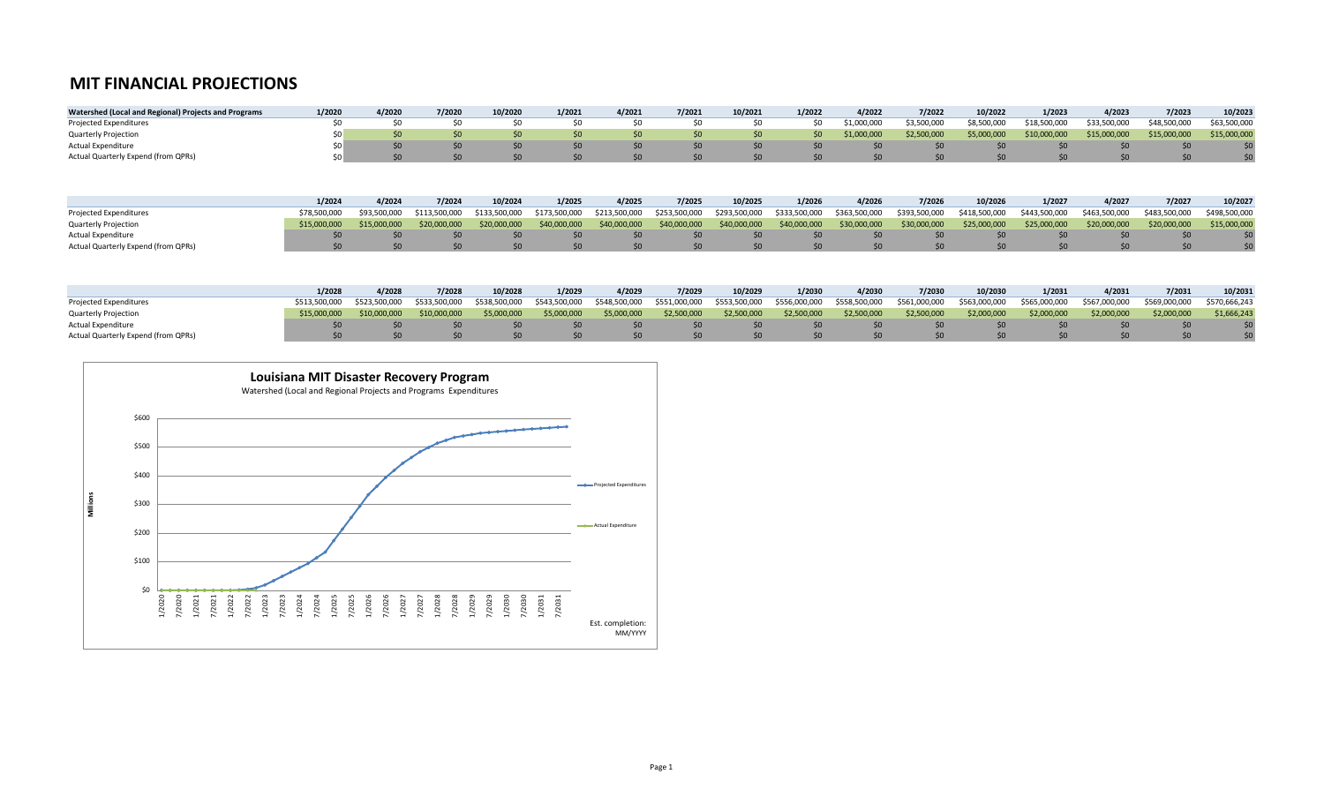| Watershed (Local and Regional) Projects and Programs | 1/2020 | 4/2020 | 7/2020 | 10/2020 | 1/2021 | 4/2021 | 7/2021 | 10/2021 | 1/2022 | 4/2022      | 7/2022      | 10/2022     | 1/2023       | 4/2023       | 7/2023       | 10/2023      |
|------------------------------------------------------|--------|--------|--------|---------|--------|--------|--------|---------|--------|-------------|-------------|-------------|--------------|--------------|--------------|--------------|
| Projected Expenditures                               |        |        |        |         |        |        |        |         |        | \$1,000,000 | \$3,500,000 | \$8,500,000 | \$18,500,000 | \$33,500,000 | \$48,500,000 | \$63,500,000 |
| <b>Quarterly Projection</b>                          |        |        |        |         |        |        |        |         |        | \$1,000,000 | \$2,500,000 | \$5,000,000 | \$10,000,000 | \$15,000,000 | \$15,000,000 | \$15,000,000 |
| Actual Expenditure                                   |        |        |        |         |        |        |        |         |        |             |             |             |              |              |              | 50           |
| Actual Quarterly Expend (from QPRs)                  |        |        |        |         |        |        |        |         |        |             |             |             |              |              |              | 50           |

|                                     | 1/2024       | 4/2024       | 7/2024        | 10/2024       | 1/2025        | 4/2025        | 7/2025        | 10/2025       | 1/2026        | 4/2026        | 7/2026        | 10/2026       | 1/2027        | 4/2027        | 7/2027        | 10/2027       |
|-------------------------------------|--------------|--------------|---------------|---------------|---------------|---------------|---------------|---------------|---------------|---------------|---------------|---------------|---------------|---------------|---------------|---------------|
| Projected Expenditures              | \$78,500,000 | \$93,500,000 | \$113,500,000 | \$133,500,000 | \$173,500,000 | \$213,500,000 | \$253,500,000 | \$293,500,000 | \$333,500,000 | \$363,500,000 | \$393,500,000 | \$418,500,000 | \$443,500,000 | \$463,500,000 | \$483,500,000 | \$498,500,000 |
| Quarterly Projection                | \$15,000,000 | \$15,000,000 | \$20,000,000  | \$20,000,000  | \$40,000,000  | \$40,000,000  | \$40,000,000  | \$40,000,000  | \$40,000,000  | \$30,000,000  | \$30,000,000  | \$25,000,000  | \$25,000,000  | \$20,000,000  | \$20,000,000  | \$15,000,000  |
| <b>Actual Expenditure</b>           |              |              |               |               |               |               |               |               |               |               |               |               |               |               |               |               |
| Actual Quarterly Expend (from QPRs) |              |              |               |               |               |               |               |               |               |               |               |               |               |               |               |               |

|                                     | 1/2028        | 4/2028        | 7/2028        | 10/2028       | 1/2029        | 4/2029        | 7/2029        | 10/2029       | 1/2030        | 4/2030        | 7/2030        | 10/2030       | 1/2031        | 4/2031        | 7/2031        | 10/2031       |
|-------------------------------------|---------------|---------------|---------------|---------------|---------------|---------------|---------------|---------------|---------------|---------------|---------------|---------------|---------------|---------------|---------------|---------------|
| <b>Projected Expenditures</b>       | \$513,500,000 | \$523,500,000 | \$533,500,000 | \$538,500,000 | \$543,500,000 | \$548,500,000 | \$551,000,000 | \$553,500,000 | \$556,000,000 | \$558,500,000 | \$561,000,000 | \$563,000,000 | \$565,000,000 | \$567,000,000 | \$569,000,000 | \$570,666,243 |
| Quarterly Projection                | \$15,000,000  | \$10,000,000  | \$10,000,000  | \$5,000,000   | \$5,000,000   | \$5,000,000   | \$2,500,000   | \$2,500,000   | \$2,500,000   | \$2,500,000   | \$2,500,000   | \$2,000,000   | \$2,000,000   | \$2,000,000   | \$2,000,000   | \$1,666,243   |
| <b>Actual Expenditure</b>           |               |               |               |               |               |               |               |               |               |               |               |               |               |               |               |               |
| Actual Quarterly Expend (from QPRs) |               |               |               |               |               |               |               |               |               |               |               |               |               |               |               |               |

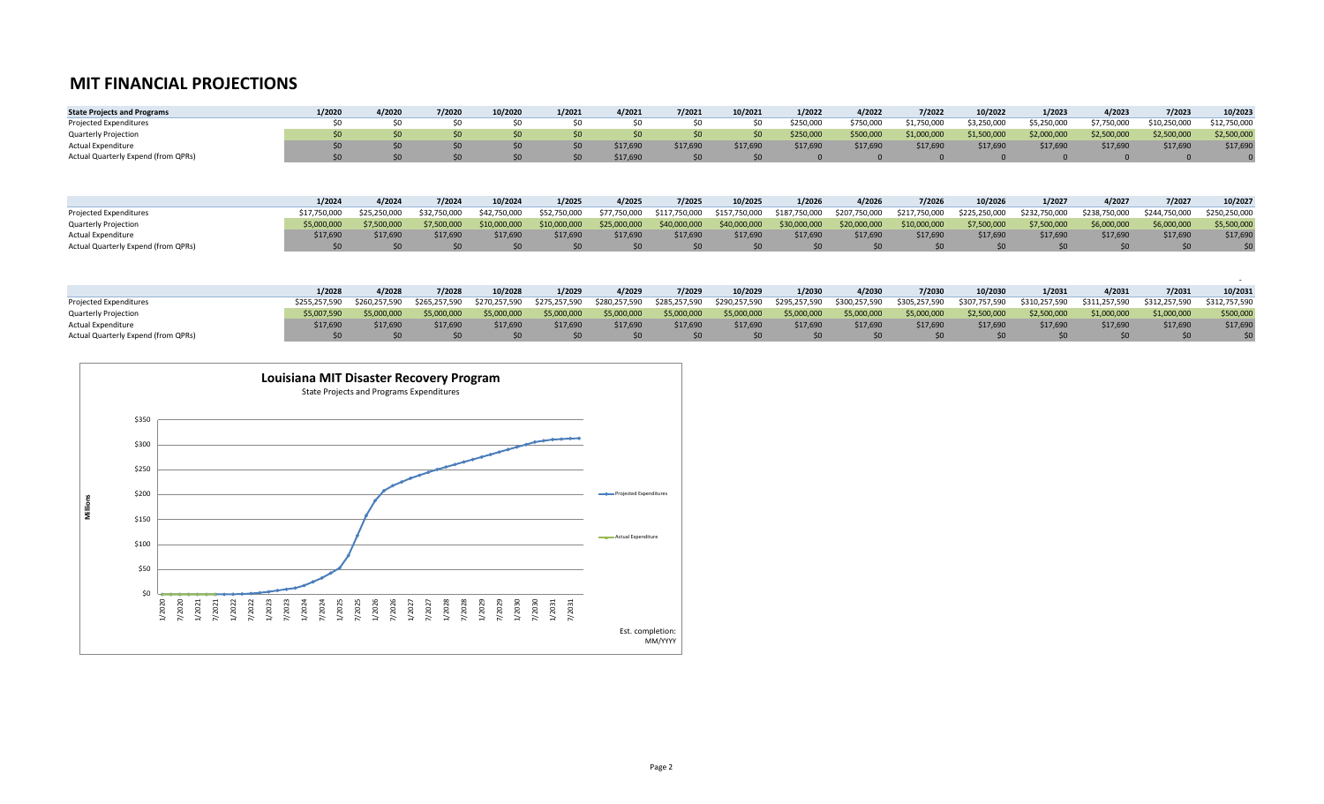| <b>State Projects and Programs</b>  | 1/2020        | 4/2020       | 7/2020        | 10/2020       | 1/2021       | 4/2021        | 7/2021        | 10/2021       | 1/2022        | 4/2022        | 7/2022        | 10/2022       | 1/2023        | 4/2023        | 7/2023        | 10/2023       |
|-------------------------------------|---------------|--------------|---------------|---------------|--------------|---------------|---------------|---------------|---------------|---------------|---------------|---------------|---------------|---------------|---------------|---------------|
| Projected Expenditures              | \$0           | \$0          | \$0           | \$0           | \$0          | \$0           | \$0           | \$0           | \$250,000     | \$750,000     | \$1,750,000   | \$3,250,000   | \$5,250,000   | \$7,750,000   | \$10,250,000  | \$12,750,000  |
| Quarterly Projection                | \$0           | \$0          | \$0           | \$0           | \$0          | \$0           | \$0           | \$0           | \$250,000     | \$500,000     | \$1,000,000   | \$1,500,000   | \$2,000,000   | \$2,500,000   | \$2,500,000   | \$2,500,000   |
| Actual Expenditure                  | \$0           | \$0          | \$0           | \$0           | \$0          | \$17,690      | \$17,690      | \$17,690      | \$17,690      | \$17,690      | \$17,690      | \$17,690      | \$17,690      | \$17,690      | \$17,690      | \$17,69       |
| Actual Quarterly Expend (from QPRs) | \$0           | \$0          | \$0           | \$0\$         | \$0          | \$17,690      | \$0           | \$0           |               |               |               |               |               |               | $\mathbf{0}$  |               |
|                                     |               |              |               |               |              |               |               |               |               |               |               |               |               |               |               |               |
|                                     |               |              |               |               |              |               |               |               |               |               |               |               |               |               |               |               |
|                                     | 1/2024        | 4/2024       | 7/2024        | 10/2024       | 1/2025       | 4/2025        | 7/2025        | 10/2025       | 1/2026        | 4/2026        | 7/2026        | 10/2026       | 1/2027        | 4/2027        | 7/2027        | 10/2027       |
| Projected Expenditures              | \$17,750,000  | \$25,250,000 | \$32,750,000  | \$42,750,000  | \$52,750,000 | \$77,750,000  | \$117,750,000 | \$157,750,000 | \$187,750,000 | \$207,750,000 | \$217,750,000 | \$225,250,000 | \$232,750,000 | \$238,750,000 | \$244,750,000 | \$250,250,000 |
| Quarterly Projection                | \$5,000,000   | \$7,500,000  | \$7,500,000   | \$10,000,000  | \$10,000,000 | \$25,000,000  | \$40,000,000  | \$40,000,000  | \$30,000,000  | \$20,000,000  | \$10,000,000  | \$7,500,000   | \$7,500,000   | \$6,000,000   | \$6,000,000   | \$5,500,000   |
| Actual Expenditure                  | \$17,690      | \$17,690     | \$17,690      | \$17,690      | \$17,690     | \$17,690      | \$17,690      | \$17,690      | \$17,690      | \$17,690      | \$17,690      | \$17,690      | \$17,690      | \$17,690      | \$17,690      | \$17,69       |
| Actual Quarterly Expend (from QPRs) | \$0           | \$0          | \$0           | \$0           | \$0          | \$0           | \$0           | \$0           | \$0           | \$0           | \$0           | \$0           | \$0           | \$0           | \$0           | \$0           |
|                                     |               |              |               |               |              |               |               |               |               |               |               |               |               |               |               |               |
|                                     |               |              |               |               |              |               |               |               |               |               |               |               |               |               |               |               |
|                                     |               |              |               |               |              |               |               |               |               |               |               |               |               |               |               |               |
|                                     | 1/2028        | 4/2028       | 7/2028        | 10/2028       | 1/2029       | 4/2029        | 7/2029        | 10/2029       | 1/2030        | 4/2030        | 7/2030        | 10/2030       | 1/2031        | 4/2031        | 7/2031        | 10/2031       |
| <b>Projected Expenditures</b>       | \$255,257,590 | 260,257,59   | \$265,257,590 | \$270,257,590 | 275,257,590  | \$280,257,590 | \$285,257,590 | \$290,257,590 | \$295,257,590 | \$300,257,59  | 305,257,59    | \$307,757,59  | \$310,257,590 | \$311,257,590 | \$312,257,590 | \$312,757,590 |
| Quarterly Projection                | \$5,007,590   | \$5,000,000  | \$5,000,000   | \$5,000,000   | \$5,000,000  | \$5,000,000   | \$5,000,000   | \$5,000,000   | \$5,000,000   | \$5,000,000   | \$5,000,000   | \$2,500,000   | \$2,500,000   | \$1,000,000   | \$1,000,000   | \$500,000     |
| Actual Expenditure                  | \$17,690      | \$17,690     | \$17,690      | \$17,690      | \$17,690     | \$17,690      | \$17,690      | \$17,690      | \$17,690      | \$17,690      | \$17,690      | \$17,690      | \$17,690      | \$17,690      | \$17,690      | \$17,69       |
| Actual Quarterly Expend (from QPRs) | \$0           |              | \$C           | \$C           | \$0          | $50^{\circ}$  |               |               | \$0           |               | $50^{\circ}$  | \$0           | \$0           | \$0           | \$0           |               |

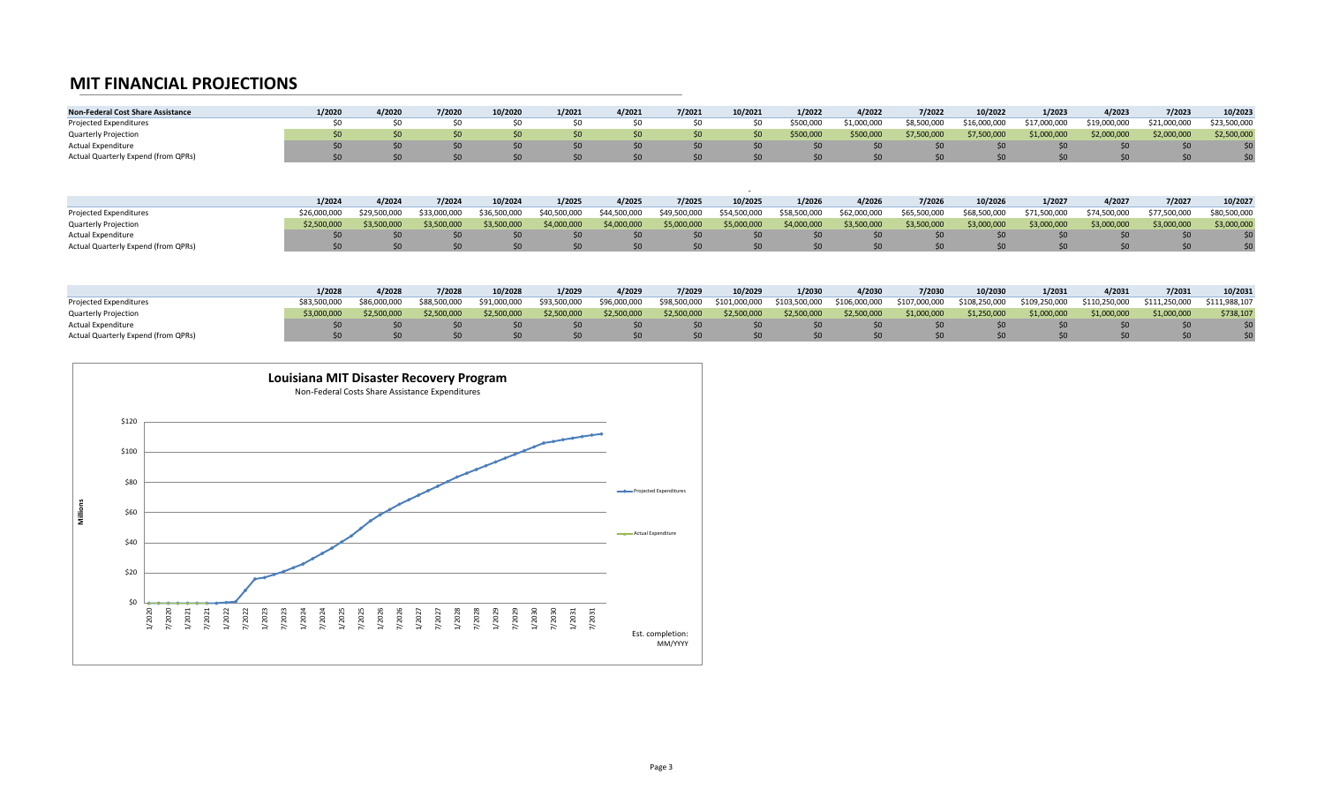| <b>Non-Federal Cost Share Assistance</b> | 1/2020       | 4/2020       | 7/2020       | 10/2020      | 1/2021       | 4/2021       | 7/2021       | 10/2021      | 1/2022       | 4/2022       | 7/2022          | 10/2022      | 1/2023       | 4/2023       | 7/2023       | 10/2023      |
|------------------------------------------|--------------|--------------|--------------|--------------|--------------|--------------|--------------|--------------|--------------|--------------|-----------------|--------------|--------------|--------------|--------------|--------------|
| Projected Expenditures                   |              | \$0          | \$0          | \$0          | \$0          | \$0          | \$0          | S0           | \$500,000    | \$1,000,000  | \$8,500,000     | \$16,000,000 | \$17,000,000 | \$19,000,000 | \$21,000,000 | \$23,500,000 |
| <b>Quarterly Projection</b>              | \$0          | \$0          | \$0          | \$0\$        | \$0\$        | \$0          | \$0          | \$0          | \$500,000    | \$500,000    | \$7,500,000     | \$7,500,000  | \$1,000,000  | \$2,000,000  | \$2,000,000  | \$2,500,000  |
| <b>Actual Expenditure</b>                | \$0          | \$0          | \$0          | \$0\$        | \$0          | \$0          | \$0          | \$0          | \$0          | \$0          | \$0             | \$0          | \$0          | \$0          | \$0          |              |
| Actual Quarterly Expend (from QPRs)      | \$0          | \$0          | \$0          | \$0          | \$0          | \$0          | \$0          | \$0          | \$0          | \$0          | \$0\$           | \$0          | \$0          | \$0          | \$0          |              |
|                                          |              |              |              |              |              |              |              |              |              |              |                 |              |              |              |              |              |
|                                          | 1/2024       | 4/2024       | 7/2024       | 10/2024      | 1/2025       | 4/2025       | 7/2025       | 10/2025      | 1/2026       | 4/2026       | 7/2026          | 10/2026      | 1/2027       | 4/2027       | 7/2027       | 10/2027      |
| Projected Expenditures                   | \$26,000,000 | \$29,500,000 | \$33,000,000 | \$36,500,000 | \$40,500,000 | \$44,500,000 | \$49,500,000 | \$54,500,000 | \$58,500,000 | \$62,000,000 | \$65,500,000    | \$68,500,000 | \$71,500,000 | \$74,500,000 | \$77,500,000 | \$80,500,000 |
| Quarterly Projection                     | \$2,500,000  | \$3,500,000  | \$3,500,000  | \$3,500,000  | \$4,000,000  | \$4,000,000  | \$5,000,000  | \$5,000,000  | \$4,000,000  | \$3,500,000  | \$3,500,000     | \$3,000,000  | \$3,000,000  | \$3,000,000  | \$3,000,000  | \$3,000,000  |
| <b>Actual Expenditure</b>                |              | \$0          | \$0          | \$0          | \$0          | \$0          | \$0          | \$0          | $50^{\circ}$ | \$0          | \$0             | \$0          | \$0          | \$0          | \$0          |              |
| Actual Quarterly Expend (from QPRs)      |              | \$0          | \$0          | \$0\$        | \$0          | \$0          | \$0          | \$0          | \$0          | \$0          | 50 <sup>1</sup> | \$0          | \$0          | \$0          | \$0          |              |
|                                          |              |              |              |              |              |              |              |              |              |              |                 |              |              |              |              |              |
|                                          |              |              |              |              |              |              |              |              |              |              |                 |              |              |              |              |              |
|                                          |              |              |              |              |              |              |              |              |              |              |                 |              |              |              |              |              |

|                                     | 1/2028       | 4/2028       | 7/2028       | 10/2028      | 1/2029       | 4/2029       | 7/2029       | 10/2029       | 1/2030        | 4/2030        | 7/2030        | 10/2030       | 1/2031        | 4/2031        | 7/2031        | 10/2031       |
|-------------------------------------|--------------|--------------|--------------|--------------|--------------|--------------|--------------|---------------|---------------|---------------|---------------|---------------|---------------|---------------|---------------|---------------|
| Projected Expenditures              | \$83.500.000 | \$86,000,000 | \$88,500,000 | \$91,000,000 | \$93,500,000 | \$96,000,000 | \$98,500,000 | \$101,000,000 | \$103,500,000 | \$106,000,000 | \$107,000,000 | \$108,250,000 | \$109,250,000 | \$110,250,000 | \$111,250,000 | \$111,988,107 |
| <b>Quarterly Projection</b>         | \$3.000.000  | \$2,500,000  | \$2,500,000  | \$2,500,000  | \$2,500,000  | \$2,500,000  | \$2,500,000  | \$2,500,000   | \$2,500,000   | \$2,500,000   | \$1,000,000   | \$1,250,000   | \$1,000,000   | \$1,000,000   | \$1,000,000   | \$738,107     |
| <b>Actual Expenditure</b>           |              |              |              |              |              |              |              |               |               |               |               |               |               |               |               |               |
| Actual Quarterly Expend (from QPRs) |              |              |              |              |              |              |              |               |               |               |               |               |               |               |               | $\zeta$       |

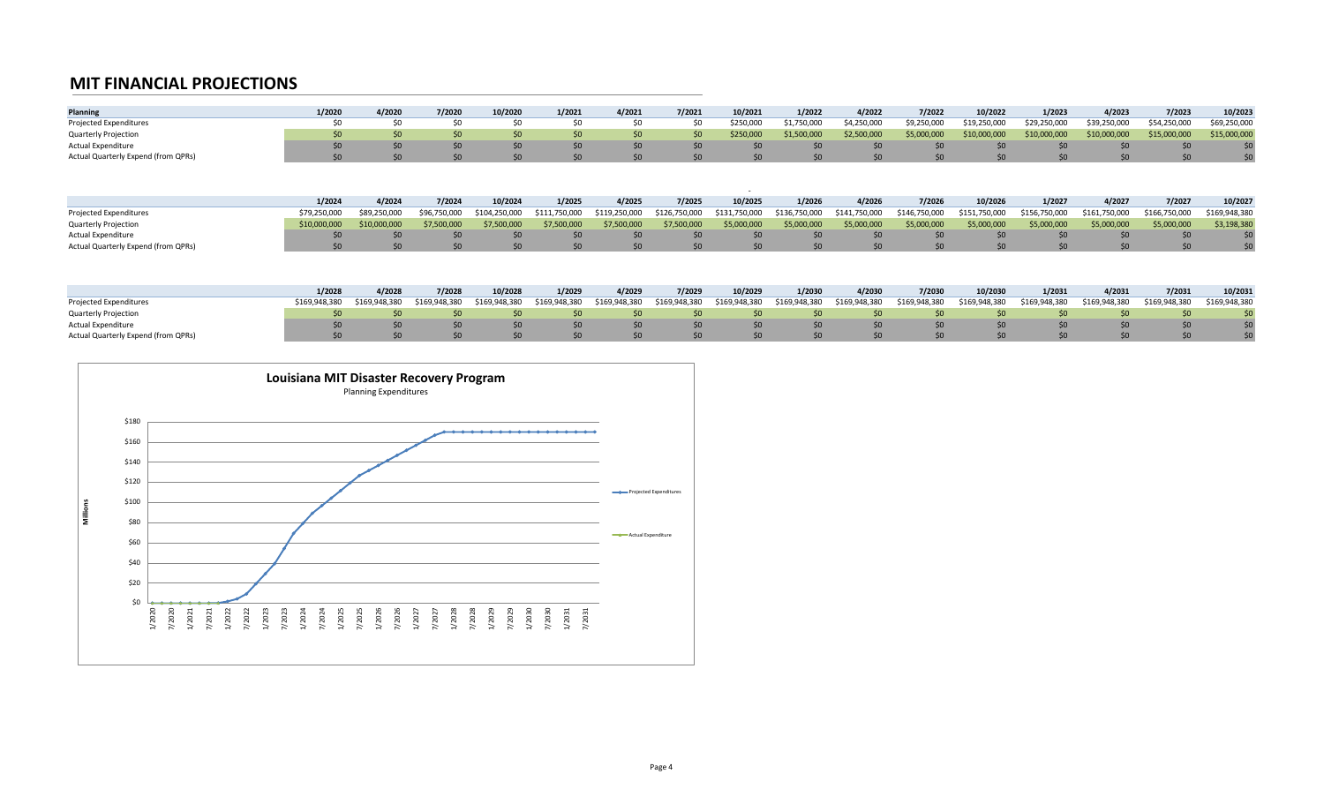| <b>Planning</b>                     | 1/2020 | 4/2020 | 7/2020 | 10/2020   | 1/2021          | 4/2021 | 7/2021 | 10/2021   | 1/2022       | 4/2022      | 7/2022      | 10/2022      | 1/2023       | 4/2023       | 7/2023       | 10/2023      |
|-------------------------------------|--------|--------|--------|-----------|-----------------|--------|--------|-----------|--------------|-------------|-------------|--------------|--------------|--------------|--------------|--------------|
| Projected Expenditures              |        |        |        |           |                 |        |        | \$250,000 | \$1,750,000  | \$4,250,000 | \$9,250,000 | \$19,250,000 | \$29,250,000 | \$39,250,000 | \$54,250,000 | \$69,250,000 |
| <b>Quarterly Projection</b>         |        |        |        | \$0       | $50^{\circ}$    |        |        | \$250,000 | \$1,500,000  | \$2,500,000 | \$5,000,000 | \$10,000,000 | \$10,000,000 | \$10,000,000 | \$15,000,000 | \$15,000,000 |
| Actual Expenditure                  |        |        |        | <b>SO</b> |                 |        |        |           |              |             |             |              |              |              |              |              |
| Actual Quarterly Expend (from QPRs) |        |        |        | י^        | 50 <sup>2</sup> |        |        |           | $50^{\circ}$ |             |             |              |              |              |              | $\zeta$      |
|                                     |        |        |        |           |                 |        |        |           |              |             |             |              |              |              |              |              |

|                                     | 1/2024       | 4/2024       | 7/2024       | 10/2024       | 1/2025        | 4/2025        | 7/2025        | 10/2025       | 1/2026        | 4/2026        | 7/2026        | 10/2026       | 1/2027        | 4/2027        | 7/2027        | 10/2027       |
|-------------------------------------|--------------|--------------|--------------|---------------|---------------|---------------|---------------|---------------|---------------|---------------|---------------|---------------|---------------|---------------|---------------|---------------|
| Projected Expenditures              | \$79.250.000 | \$89.250.000 | \$96,750,000 | \$104,250,000 | \$111,750,000 | \$119,250,000 | \$126,750,000 | \$131,750,000 | \$136,750,000 | \$141,750,000 | \$146,750,000 | \$151,750,000 | \$156,750,000 | \$161,750,000 | \$166,750,000 | \$169,948,380 |
| Quarterly Projection                | \$10,000,000 | \$10,000,000 | \$7,500,000  | \$7,500,000   | \$7,500,000   | \$7,500,000   | \$7,500,000   | \$5,000,000   | \$5,000,000   | \$5,000,000   | \$5,000,000   | \$5,000,000   | \$5,000,000   | \$5,000,000   | \$5,000,000   | \$3,198,380   |
| Actual Expenditure                  |              |              |              |               |               |               |               |               |               |               |               |               |               |               |               |               |
| Actual Quarterly Expend (from QPRs) |              |              |              |               |               |               |               |               |               |               |               |               |               |               |               |               |

|                                     | 1/2028        | 4/2028        | 7/2028        | 10/2028       | 1/2029        | 4/2029        | 7/2029        | 10/2029       | 1/2030        | 4/2030        | 7/2030        | 10/2030       | 1/2031        | 4/2031        | 7/2031        | 10/2031       |
|-------------------------------------|---------------|---------------|---------------|---------------|---------------|---------------|---------------|---------------|---------------|---------------|---------------|---------------|---------------|---------------|---------------|---------------|
| Projected Expenditures              | \$169.948.380 | \$169,948,380 | \$169,948,380 | \$169,948,380 | \$169,948,380 | \$169,948,380 | \$169,948,380 | \$169,948,380 | \$169,948,380 | \$169,948,380 | \$169,948,380 | \$169,948,380 | \$169,948,380 | \$169,948,380 | \$169,948,380 | \$169,948,380 |
| Quarterly Projection                |               |               |               |               |               |               |               |               |               |               |               |               |               |               |               | \$0           |
| Actual Expenditure                  |               |               |               |               |               |               |               |               |               |               |               |               |               |               |               | 50            |
| Actual Quarterly Expend (from QPRs) |               |               |               |               |               |               |               |               |               |               |               |               |               |               |               | 50            |

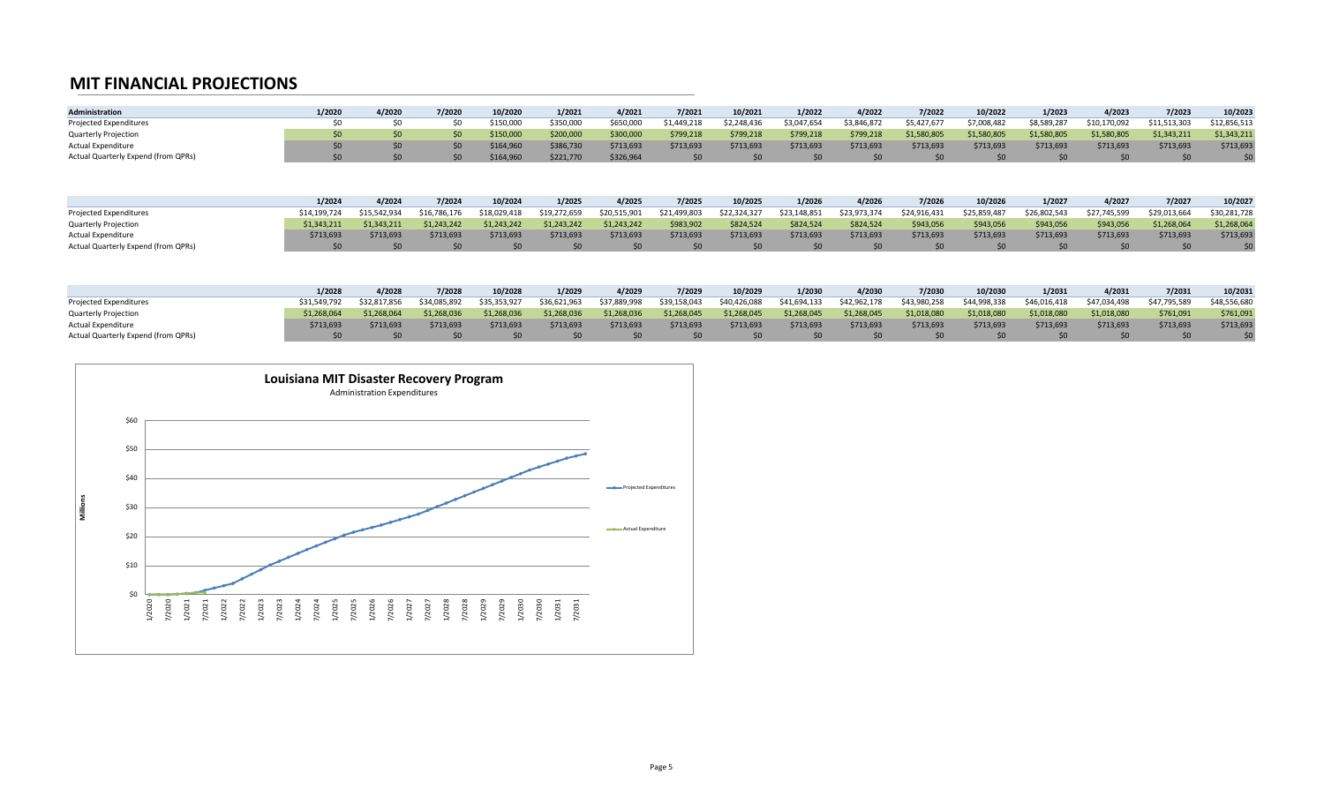| <b>Administration</b>               | 1/2020       | 4/2020          | 7/2020       | 10/2020      | 1/2021       | 4/2021       | 7/2021       | 10/2021      | 1/2022       | 4/2022       | 7/2022       | 10/2022      | 1/2023       | 4/2023       | 7/2023       | 10/2023      |
|-------------------------------------|--------------|-----------------|--------------|--------------|--------------|--------------|--------------|--------------|--------------|--------------|--------------|--------------|--------------|--------------|--------------|--------------|
| Projected Expenditures              | \$0          | \$0             | \$0          | \$150,000    | \$350,000    | \$650,000    | \$1,449,218  | \$2,248,436  | \$3,047,654  | \$3,846,872  | \$5,427,677  | \$7,008,482  | \$8,589,28   | \$10,170,092 | \$11,513,303 | \$12,856,513 |
| <b>Quarterly Projection</b>         | \$0          | \$0\$           | \$0          | \$150,000    | \$200,000    | \$300,000    | \$799,218    | \$799,218    | \$799,218    | \$799,218    | \$1,580,805  | \$1,580,805  | \$1,580,805  | \$1,580,805  | \$1,343,211  | \$1,343,211  |
| Actual Expenditure                  | \$0          | \$0             | \$0          | \$164,960    | \$386,730    | \$713,693    | \$713,693    | \$713,693    | \$713,693    | \$713,693    | \$713,693    | \$713,693    | \$713,693    | \$713,693    | \$713,693    | \$713,693    |
| Actual Quarterly Expend (from QPRs) | \$0          | 50 <sub>1</sub> | \$0          | \$164,960    | \$221,770    | \$326,964    | \$0          | \$0          | \$0          | \$0          | \$0          | \$0          | \$0          | \$0          | \$0          | \$0          |
|                                     |              |                 |              |              |              |              |              |              |              |              |              |              |              |              |              |              |
|                                     |              |                 |              |              |              |              |              |              |              |              |              |              |              |              |              |              |
|                                     | 1/2024       | 4/2024          | 7/2024       | 10/2024      | 1/2025       | 4/2025       | 7/2025       | 10/2025      | 1/2026       | 4/2026       | 7/2026       | 10/2026      | 1/2027       | 4/2027       | 7/2027       | 10/2027      |
| Projected Expenditures              | \$14,199,724 | \$15,542,934    | \$16,786,176 | \$18,029,418 | \$19,272,659 | \$20,515,90: | \$21,499,803 | \$22,324,327 | \$23,148,851 | \$23,973,37  | \$24,916,431 | \$25,859,487 | \$26,802,543 | \$27,745,599 | \$29,013,664 | \$30,281,728 |
| Quarterly Projection                | \$1,343,211  | \$1,343,211     | \$1,243,242  | \$1,243,242  | \$1,243,242  | \$1,243,242  | \$983,902    | \$824,524    | \$824,524    | \$824,524    | \$943,056    | \$943,056    | \$943,056    | \$943,056    | \$1,268,064  | \$1,268,064  |
| Actual Expenditure                  | \$713,693    | \$713,693       | \$713,693    | \$713,693    | \$713,693    | \$713,693    | \$713,693    | \$713,693    | \$713,693    | \$713,693    | \$713,693    | \$713,693    | \$713,693    | \$713,693    | \$713,693    | \$713,693    |
| Actual Quarterly Expend (from QPRs) | \$0          | \$0             | \$0          | \$0          | \$0          | $50^{\circ}$ | \$0          | \$0          | \$0          | \$0          | \$0          | \$0          | \$0          | \$0          | \$0          | \$0          |
|                                     |              |                 |              |              |              |              |              |              |              |              |              |              |              |              |              |              |
|                                     |              |                 |              |              |              |              |              |              |              |              |              |              |              |              |              |              |
|                                     | 1/2028       | 4/2028          | 7/2028       | 10/2028      | 1/2029       | 4/2029       | 7/2029       | 10/2029      | 1/2030       | 4/2030       | 7/2030       | 10/2030      | 1/2031       | 4/2031       | 7/2031       | 10/2031      |
| <b>Projected Expenditures</b>       | \$31,549,792 | \$32,817,856    | \$34,085,892 | \$35,353,927 | \$36,621,963 | \$37,889,998 | \$39,158,043 | \$40,426,088 | \$41,694,133 | \$42,962,178 | \$43,980,258 | \$44,998,338 | \$46,016,418 | \$47,034,498 | \$47,795,589 | \$48,556,680 |
| <b>Quarterly Projection</b>         | \$1,268,064  | \$1,268,064     | \$1,268,036  | \$1,268,036  | \$1,268,036  | \$1,268,036  | \$1,268,045  | \$1,268,045  | \$1,268,045  | \$1,268,045  | \$1,018,080  | \$1,018,080  | \$1,018,080  | \$1,018,080  | \$761,091    | \$761,091    |

Actual Expenditure \$713,693 \$713,693 \$713,693 \$713,693 \$713,693 \$713,693 \$713,693 \$713,693 \$713,693 \$713,693 \$713,693 \$713,693 \$713,693 \$713,693 Actual Quarterly Expend (from QPRs) \$0 \$0 \$0 \$0 \$0 \$0 \$0 \$0 \$0 \$0 \$0 \$0 \$0 \$0 \$0 \$0